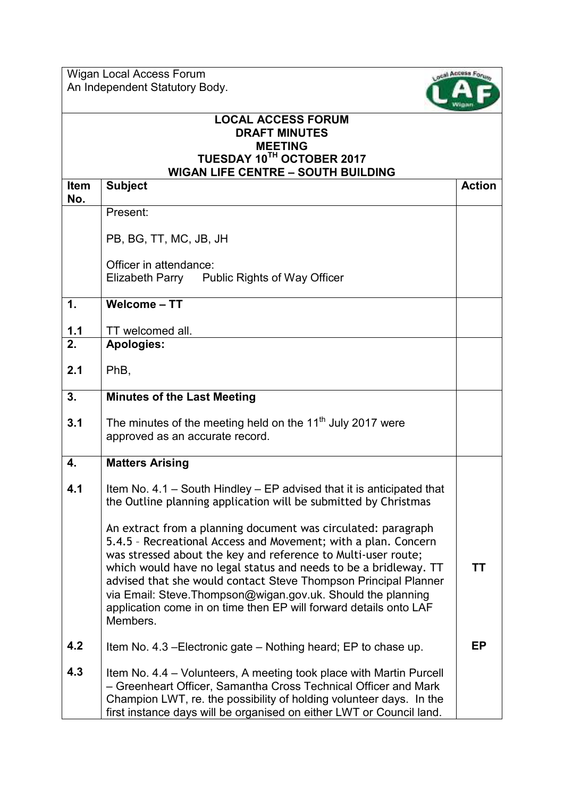Wigan Local Access Forum An Independent Statutory Body.



## **LOCAL ACCESS FORUM DRAFT MINUTES MEETING TUESDAY 10TH OCTOBER 2017 WIGAN LIFE CENTRE – SOUTH BUILDING**

| Item | IIUAN LII L VLNTIN<br>טוועבוטע וווטטט -<br><b>Subject</b>                                                                                                                                                                                                                                                                                                                                                                                                                                | <b>Action</b> |
|------|------------------------------------------------------------------------------------------------------------------------------------------------------------------------------------------------------------------------------------------------------------------------------------------------------------------------------------------------------------------------------------------------------------------------------------------------------------------------------------------|---------------|
| No.  |                                                                                                                                                                                                                                                                                                                                                                                                                                                                                          |               |
|      | Present:                                                                                                                                                                                                                                                                                                                                                                                                                                                                                 |               |
|      | PB, BG, TT, MC, JB, JH                                                                                                                                                                                                                                                                                                                                                                                                                                                                   |               |
|      | Officer in attendance:<br>Elizabeth Parry Public Rights of Way Officer                                                                                                                                                                                                                                                                                                                                                                                                                   |               |
| 1.   | Welcome - TT                                                                                                                                                                                                                                                                                                                                                                                                                                                                             |               |
| 1.1  | TT welcomed all.                                                                                                                                                                                                                                                                                                                                                                                                                                                                         |               |
| 2.   | <b>Apologies:</b>                                                                                                                                                                                                                                                                                                                                                                                                                                                                        |               |
| 2.1  | PhB,                                                                                                                                                                                                                                                                                                                                                                                                                                                                                     |               |
| 3.   | <b>Minutes of the Last Meeting</b>                                                                                                                                                                                                                                                                                                                                                                                                                                                       |               |
| 3.1  | The minutes of the meeting held on the 11 <sup>th</sup> July 2017 were<br>approved as an accurate record.                                                                                                                                                                                                                                                                                                                                                                                |               |
| 4.   | <b>Matters Arising</b>                                                                                                                                                                                                                                                                                                                                                                                                                                                                   |               |
| 4.1  | Item No. $4.1$ – South Hindley – EP advised that it is anticipated that<br>the Outline planning application will be submitted by Christmas                                                                                                                                                                                                                                                                                                                                               |               |
|      | An extract from a planning document was circulated: paragraph<br>5.4.5 - Recreational Access and Movement; with a plan. Concern<br>was stressed about the key and reference to Multi-user route;<br>which would have no legal status and needs to be a bridleway. TT<br>advised that she would contact Steve Thompson Principal Planner<br>via Email: Steve. Thompson@wigan.gov.uk. Should the planning<br>application come in on time then EP will forward details onto LAF<br>Members. | TТ            |
| 4.2  | Item No. 4.3 – Electronic gate – Nothing heard; EP to chase up.                                                                                                                                                                                                                                                                                                                                                                                                                          | EP            |
| 4.3  | Item No. 4.4 - Volunteers, A meeting took place with Martin Purcell<br>- Greenheart Officer, Samantha Cross Technical Officer and Mark<br>Champion LWT, re. the possibility of holding volunteer days. In the<br>first instance days will be organised on either LWT or Council land.                                                                                                                                                                                                    |               |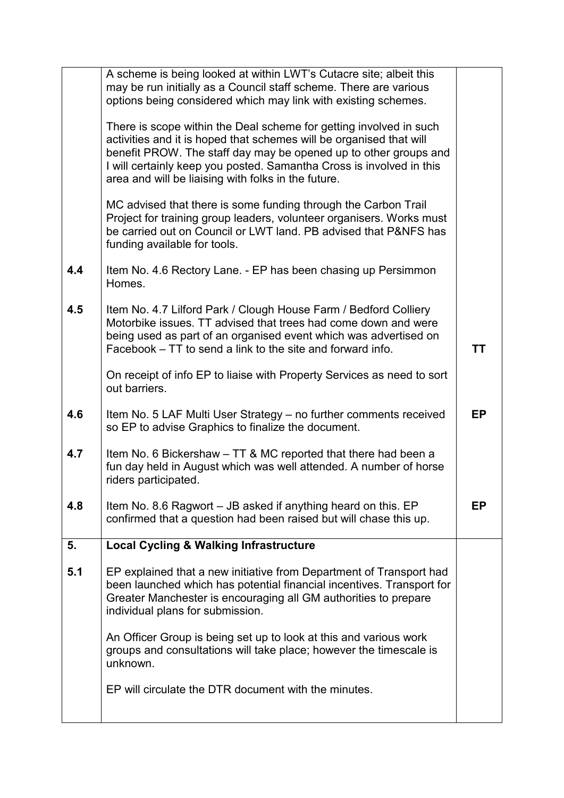|     | A scheme is being looked at within LWT's Cutacre site; albeit this<br>may be run initially as a Council staff scheme. There are various<br>options being considered which may link with existing schemes.                                                                                                                                    |    |
|-----|----------------------------------------------------------------------------------------------------------------------------------------------------------------------------------------------------------------------------------------------------------------------------------------------------------------------------------------------|----|
|     |                                                                                                                                                                                                                                                                                                                                              |    |
|     | There is scope within the Deal scheme for getting involved in such<br>activities and it is hoped that schemes will be organised that will<br>benefit PROW. The staff day may be opened up to other groups and<br>I will certainly keep you posted. Samantha Cross is involved in this<br>area and will be liaising with folks in the future. |    |
|     | MC advised that there is some funding through the Carbon Trail<br>Project for training group leaders, volunteer organisers. Works must<br>be carried out on Council or LWT land. PB advised that P&NFS has<br>funding available for tools.                                                                                                   |    |
| 4.4 | Item No. 4.6 Rectory Lane. - EP has been chasing up Persimmon<br>Homes.                                                                                                                                                                                                                                                                      |    |
| 4.5 | Item No. 4.7 Lilford Park / Clough House Farm / Bedford Colliery<br>Motorbike issues. TT advised that trees had come down and were<br>being used as part of an organised event which was advertised on<br>Facebook – TT to send a link to the site and forward info.                                                                         | ΤT |
|     | On receipt of info EP to liaise with Property Services as need to sort<br>out barriers.                                                                                                                                                                                                                                                      |    |
| 4.6 | Item No. 5 LAF Multi User Strategy - no further comments received<br>so EP to advise Graphics to finalize the document.                                                                                                                                                                                                                      | EP |
| 4.7 | Item No. 6 Bickershaw – TT & MC reported that there had been a<br>fun day held in August which was well attended. A number of horse<br>riders participated.                                                                                                                                                                                  |    |
| 4.8 | Item No. 8.6 Ragwort – JB asked if anything heard on this. EP<br>confirmed that a question had been raised but will chase this up.                                                                                                                                                                                                           | EP |
| 5.  | <b>Local Cycling &amp; Walking Infrastructure</b>                                                                                                                                                                                                                                                                                            |    |
| 5.1 | EP explained that a new initiative from Department of Transport had<br>been launched which has potential financial incentives. Transport for<br>Greater Manchester is encouraging all GM authorities to prepare<br>individual plans for submission.                                                                                          |    |
|     | An Officer Group is being set up to look at this and various work<br>groups and consultations will take place; however the timescale is<br>unknown.                                                                                                                                                                                          |    |
|     | EP will circulate the DTR document with the minutes.                                                                                                                                                                                                                                                                                         |    |
|     |                                                                                                                                                                                                                                                                                                                                              |    |